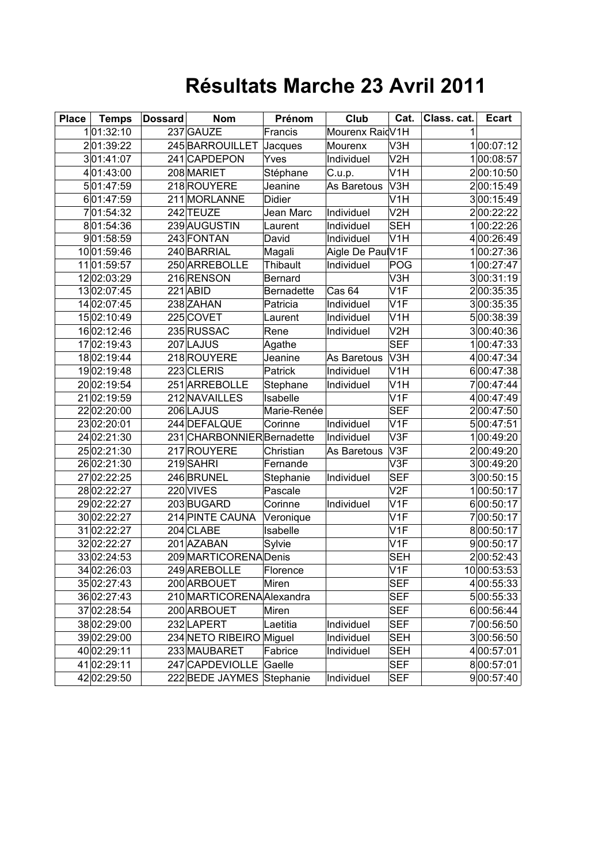## **Résultats Marche 23 Avril 2011**

| <b>Place</b> | <b>Temps</b> | <b>Dossard</b> | <b>Nom</b>                 | Prénom            | Club              | Cat.             | Class. cat. | <b>Ecart</b> |
|--------------|--------------|----------------|----------------------------|-------------------|-------------------|------------------|-------------|--------------|
|              | 101:32:10    |                | 237 GAUZE                  | Francis           | Mourenx RaidV1H   |                  |             |              |
|              | 201:39:22    |                | 245 BARROUILLET            | Jacques           | Mourenx           | V3H              |             | 100:07:12    |
|              | 301:41:07    |                | 241 CAPDEPON               | Yves              | Individuel        | V2H              |             | 100:08:57    |
|              | 401:43:00    |                | 208 MARIET                 | Stéphane          | C.u.p.            | V <sub>1</sub> H |             | 200:10:50    |
|              | 501:47:59    |                | 218 ROUYERE                | Jeanine           | As Baretous       | V <sub>3</sub> H |             | 200:15:49    |
|              | 601:47:59    |                | 211 MORLANNE               | Didier            |                   | V <sub>1</sub> H |             | 300:15:49    |
|              | 701:54:32    |                | 242 TEUZE                  | Jean Marc         | Individuel        | V2H              |             | 200:22:22    |
|              | 801:54:36    |                | 239 AUGUSTIN               | Laurent           | Individuel        | <b>SEH</b>       |             | 100:22:26    |
|              | 901:58:59    |                | 243 FONTAN                 | David             | Individuel        | V <sub>1</sub> H |             | 400:26:49    |
|              | 1001:59:46   |                | 240 BARRIAL                | Magali            | Aigle De PaulV1F  |                  |             | 100:27:36    |
|              | 11 01:59:57  |                | 250 ARREBOLLE              | <b>Thibault</b>   | Individuel        | POG              |             | 100:27:47    |
|              | 12 02:03:29  |                | 216 RENSON                 | Bernard           |                   | V <sub>3</sub> H |             | 300:31:19    |
|              | 1302:07:45   |                | 221 ABID                   | <b>Bernadette</b> | Cas <sub>64</sub> | V <sub>1</sub> F |             | 200:35:35    |
|              | 14 02:07:45  |                | 238 ZAHAN                  | Patricia          | Individuel        | V <sub>1</sub> F |             | 300:35:35    |
|              | 1502:10:49   |                | 225 COVET                  | Laurent           | Individuel        | V <sub>1</sub> H |             | 500:38:39    |
|              | 16 02:12:46  |                | 235 RUSSAC                 | Rene              | Individuel        | V2H              |             | 300:40:36    |
|              | 17 02:19:43  |                | 207 LAJUS                  | Agathe            |                   | <b>SEF</b>       |             | 00:47:33     |
|              | 1802:19:44   |                | 218 ROUYERE                | Jeanine           | As Baretous       | V3H              |             | 400:47:34    |
|              | 1902:19:48   |                | 223 CLERIS                 | Patrick           | Individuel        | V <sub>1</sub> H |             | 600:47:38    |
|              | 20 02:19:54  |                | 251 ARREBOLLE              | Stephane          | Individuel        | V <sub>1</sub> H |             | 700:47:44    |
|              | 2102:19:59   |                | 212 NAVAILLES              | Isabelle          |                   | V <sub>1</sub> F |             | 400:47:49    |
|              | 2202:20:00   |                | 206LAJUS                   | Marie-Renée       |                   | <b>SEF</b>       |             | 200:47:50    |
|              | 2302:20:01   |                | 244 DEFALQUE               | Corinne           | Individuel        | V <sub>1</sub> F |             | 500:47:51    |
|              | 24 02:21:30  |                | 231 CHARBONNIER Bernadette |                   | Individuel        | V3F              |             | 100:49:20    |
|              | 2502:21:30   |                | 217 ROUYERE                | Christian         | As Baretous       | V3F              |             | 200:49:20    |
|              | 2602:21:30   |                | 219 SAHRI                  | Fernande          |                   | V3F              |             | 300:49:20    |
|              | 27 02:22:25  |                | 246 BRUNEL                 | Stephanie         | Individuel        | <b>SEF</b>       |             | 300:50:15    |
|              | 28 02:22:27  |                | 220 VIVES                  | Pascale           |                   | V2F              |             | 100:50:17    |
|              | 2902:22:27   |                | 203BUGARD                  | Corinne           | Individuel        | V <sub>1</sub> F |             | 600:50:17    |
|              | 30 02:22:27  |                | 214 PINTE CAUNA            | Veronique         |                   | V <sub>1</sub> F |             | 700:50:17    |
|              | 31 02:22:27  |                | 204 CLABE                  | Isabelle          |                   | V1F              |             | 800:50:17    |
|              | 32 02:22:27  |                | 201 AZABAN                 | Sylvie            |                   | V <sub>1</sub> F |             | 900:50:17    |
|              | 3302:24:53   |                | 209 MARTICORENA Denis      |                   |                   | <b>SEH</b>       |             | 200:52:43    |
|              | 3402:26:03   |                | 249 AREBOLLE               | Florence          |                   | V1F              |             | 1000:53:53   |
|              | 35 02:27:43  |                | 200 ARBOUET                | Miren             |                   | SEF              |             | 400:55:33    |
|              | 36 02:27:43  |                | 210 MARTICORENA Alexandra  |                   |                   | <b>SEF</b>       |             | 500:55:33    |
|              | 37 02:28:54  |                | 200 ARBOUET                | Miren             |                   | <b>SEF</b>       |             | 600:56:44    |
|              | 38 02:29:00  |                | 232LAPERT                  | Laetitia          | Individuel        | <b>SEF</b>       |             | 700:56:50    |
|              | 3902:29:00   |                | 234 NETO RIBEIRO Miguel    |                   | Individuel        | <b>SEH</b>       |             | 300:56:50    |
|              | 40 02:29:11  |                | 233 MAUBARET               | Fabrice           | Individuel        | <b>SEH</b>       |             | 4 00:57:01   |
|              | 41 02:29:11  |                | 247 CAPDEVIOLLE            | Gaelle            |                   | <b>SEF</b>       |             | 800:57:01    |
|              | 42 02:29:50  |                | 222 BEDE JAYMES Stephanie  |                   | Individuel        | <b>SEF</b>       |             | 900:57:40    |